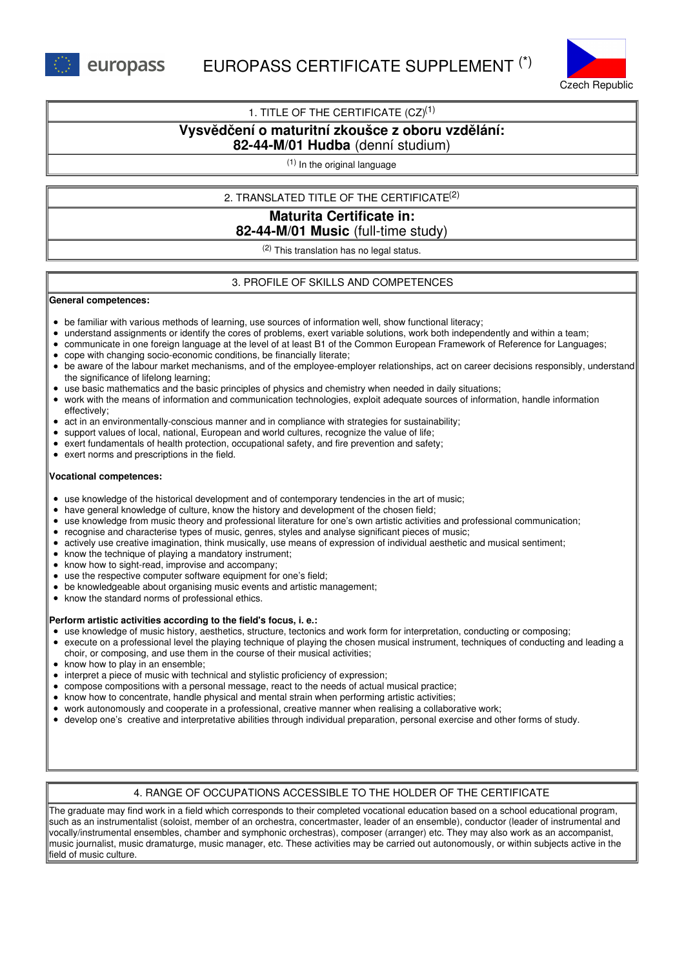



## 1. TITLE OF THE CERTIFICATE  $(CZ)^{(1)}$

# **Vysvědčení o maturitní zkoušce z oboru vzdělání:**

# **82-44-M/01 Hudba** (denní studium)

(1) In the original language

## 2. TRANSLATED TITLE OF THE CERTIFICATE (2)

# **Maturita Certificate in: 82-44-M/01 Music** (full-time study)

 $(2)$  This translation has no legal status.

## 3. PROFILE OF SKILLS AND COMPETENCES

#### **General competences:**

- be familiar with various methods of learning, use sources of information well, show functional literacy;
- understand assignments or identify the cores of problems, exert variable solutions, work both independently and within a team;
- communicate in one foreign language at the level of at least B1 of the Common European Framework of Reference for Languages;
- cope with changing socio-economic conditions, be financially literate;
- be aware of the labour market mechanisms, and of the employee-employer relationships, act on career decisions responsibly, understand the significance of lifelong learning;
- use basic mathematics and the basic principles of physics and chemistry when needed in daily situations;
- work with the means of information and communication technologies, exploit adequate sources of information, handle information effectively;
- act in an environmentally-conscious manner and in compliance with strategies for sustainability;  $\bullet$
- support values of local, national, European and world cultures, recognize the value of life;
- exert fundamentals of health protection, occupational safety, and fire prevention and safety;
- exert norms and prescriptions in the field.

### **Vocational competences:**

- use knowledge of the historical development and of contemporary tendencies in the art of music;
- have general knowledge of culture, know the history and development of the chosen field;  $\bullet$
- use knowledge from music theory and professional literature for one's own artistic activities and professional communication;
- recognise and characterise types of music, genres, styles and analyse significant pieces of music;
- actively use creative imagination, think musically, use means of expression of individual aesthetic and musical sentiment;
- know the technique of playing a mandatory instrument;
- know how to sight-read, improvise and accompany:
- use the respective computer software equipment for one's field;
- be knowledgeable about organising music events and artistic management;
- know the standard norms of professional ethics.  $\bullet$

### **Perform artistic activities according to the field's focus, i. e.:**

- use knowledge of music history, aesthetics, structure, tectonics and work form for interpretation, conducting or composing;
- execute on a professional level the playing technique of playing the chosen musical instrument, techniques of conducting and leading a choir, or composing, and use them in the course of their musical activities;
- know how to play in an ensemble;
- interpret a piece of music with technical and stylistic proficiency of expression;
- compose compositions with a personal message, react to the needs of actual musical practice;
- know how to concentrate, handle physical and mental strain when performing artistic activities;
- work autonomously and cooperate in a professional, creative manner when realising a collaborative work;
- develop one's creative and interpretative abilities through individual preparation, personal exercise and other forms of study.

## 4. RANGE OF OCCUPATIONS ACCESSIBLE TO THE HOLDER OF THE CERTIFICATE

The graduate may find work in a field which corresponds to their completed vocational education based on a school educational program, such as an instrumentalist (soloist, member of an orchestra, concertmaster, leader of an ensemble), conductor (leader of instrumental and vocally/instrumental ensembles, chamber and symphonic orchestras), composer (arranger) etc. They may also work as an accompanist, music journalist, music dramaturge, music manager, etc. These activities may be carried out autonomously, or within subjects active in the field of music culture.